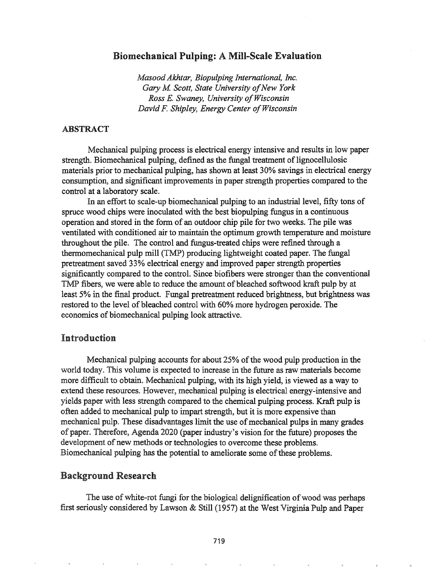## Biomechanical Pulping: A Mill-Scale Evaluation

*Masood Akhtar, Biopulping International, Inc. Gary M Scott, State University ofNew York Ross E. Swaney, University ofWisconsin David F. Shipley, Energy Center ofWisconsin*

## ABSTRACT

Mechanical pulping process is electrical energy intensive and results in low paper strength. Biomechanical pulping, defined as the fungal treatment of lignocellulosic materials prior to mechanical pulping, has shown at least 30% savings in electrical energy consumption, and significant improvements in paper strength properties compared to the control at a laboratory scale.

In an effort to scale-up biomechanical pulping to an industrial level, fifty tons of spruce wood chips were inoculated with the best biopulping fungus in a continuous operation and stored in the form of an outdoor chip pile for two weeks. The pile was ventilated with conditioned air to maintain the optimum growth temperature and moisture throughout the pile. The control and fungus-treated chips were refined through a thermomechanical pulp mill (TMP) producing lightweight coated paper. The fungal pretreatment saved 33% electrical energy and improved paper strength properties significantly compared to the control. Since biofibers were stronger than the conventional TMP fibers, we were able to reduce the amount of bleached softwood kraft pulp by at least 5% in the final product. Fungal pretreatment reduced brightness, but brightness was restored to the level of bleached control with 60% more hydrogen peroxide. The economics of biomechanical pulping look attractive.

## Introduction

Mechanical pulping accounts for about 25% of the wood pulp production in the world today. This volume is expected to increase in the future as raw materials become more difficult to obtain. Mechanical pulping, with its high yield, is viewed as a way to extend these resources. However, mechanical pulping is electrical energy-intensive and yields paper with less strength compared to the chemical pulping process. Kraft pulp is often added to mechanical pulp to impart strength, but it is more expensive than mechanical pulp. These disadvantages limit the use of mechanical pulps in many grades of paper. Therefore, Agenda 2020 (paper industry's vision for the future) proposes the development of new methods or technologies to overcome these problems. Biomechanical pulping has the potential to ameliorate some of these problems.

### Background Research

The use of white-rot fungi for the biological delignification of wood was perhaps frrst seriously considered by Lawson & Still (1957) at the West Virginia Pulp and Paper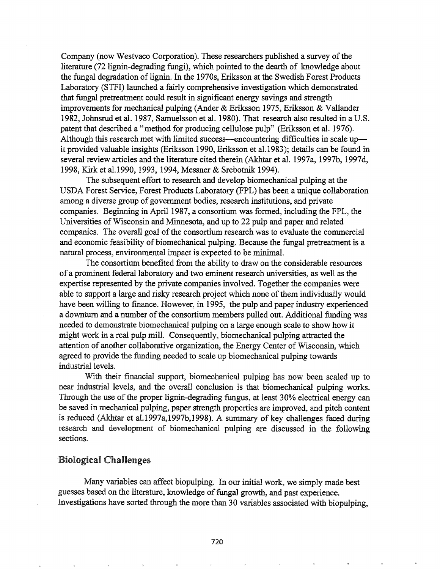Company (now Westvaco Corporation). These researchers published a survey of the literature (72 lignin-degrading fungi), which pointed to the dearth of knowledge about the fungal degradation of lignin. In the 1970s, Eriksson at the Swedish Forest Products Laboratory (STFI) launched a fairly comprehensive investigation which demonstrated that fungal pretreatment could result in significant energy savings and strength improvements for mechanical pulping (Ander & Eriksson 1975, Eriksson & Vallander 1982, Johnsrud et al. 1987, Samuelsson et al. 1980). That research also resulted in a U.S. patent that described a "method for producing cellulose pulp" (Eriksson et al. 1976). Although this research met with limited success—encountering difficulties in scale up it provided valuable insights (Eriksson 1990, Eriksson et al. 1983); details can be found in several review articles and the literature cited therein (Akhtar et al. 1997a, 1997b, 1997d, 1998, Kirk et al.1990, 1993, 1994, Messner & Srebotnik 1994).

The subsequent effort to research and develop biomechanical pulping at the USDA Forest Service, Forest Products Laboratory (FPL) has been a unique collaboration among a diverse group of government bodies, research institutions, and private companies. Beginning in April 1987, a consortium was formed, including the FPL, the Universities of Wisconsin and Minnesota, and up to 22 pulp and paper and related companies. The overall goal of the consortium research was to evaluate the commercial and economic feasibility of biomechanical pulping. Because the fungal pretreatment is a natural process, environmental impact is expected to be minimal.

The consortium benefited from the ability to draw on the considerable resources of a prominent federal laboratory and two eminent research universities, as well as the expertise represented by the private companies involved. Together the companies were able to support a large and risky research project which none of them individually would have been willing to finance. However, in 1995, the pulp and paper industry experienced a downturn and a number of the consortium members pulled out. Additional funding was needed to demonstrate biomechanical pulping on a large enough scale to show how it might work in a real pulp mill. Consequently, biomechanical pulping attracted the attention of another collaborative organization, the Energy Center of Wisconsin, which agreed to provide the funding needed to scale up biomechanical pulping towards industrial levels.

With their financial support, biomechanical pulping has now been scaled up to near industrial levels, and the overall conclusion is that biomechanical pulping works. Through the use of the proper lignin-degrading fungus, at least 30% electrical energy can be saved in mechanical pulping, paper strength properties are improved, and pitch content is reduced (Akhtar et al.1997a,1997b,1998). A summary of key challenges faced during research and development of biomechanical pulping are discussed in the following sections..

## 'Biological Challenges

Many variables can affect biopulping.. In our initial work, we simply made best guesses based on the literature, knowledge of fungal growth, and past experience. Investigations have sorted through the more than 30 variables associated with biopulping,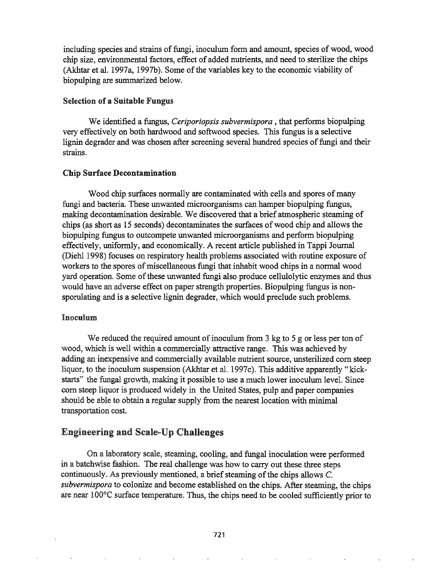including species and strains of fungi, inoculum form and amount, species of wood, wood chip size, environmental factors, effect of added nutrients, and need to sterilize the chips (Akhtar et al. 1997a, 1997b). Some of the variables key to the economic viability of biopulping are summarized below.

#### Selection of a Suitable Fungus

We identified a fungus, *Ceriporiopsis subvermispora* , that performs biopulping very effectively on both hardwood and softwood species. This fungus is a selective lignin degrader and was chosen after screening several hundred species of fungi and their strains.

#### Chip Surface Decontamination

Wood chip surfaces normally are contaminated with cells and spores of many fungi and bacteria. These unwanted microorganisms can hamper biopulping fungus, making decontamination desirable. We discovered that a brief atmospheric steaming of chips (as short as 15 seconds) decontaminates the surfaces ofwood chip and allows the biopulping fungus to outcompete unwanted microorganisms and perform biopulping effectively, uniformly, and economically. A recent article published in Tappi Journal (Diehl 1998) focuses on respiratory health problems associated with routine exposure of workers to the spores of miscellaneous fungi that inhabit wood chips in a normal wood yard operation. Some of these unwanted fungi also produce cellulolytic enzymes and thus would have an adverse effect on paper strength properties. Biopulping fungus is nonsporulating and is a selective lignin degrader, which would preclude such problems.

### Inoculum

We reduced the required amount of inoculum from  $3 \text{ kg}$  to  $5 \text{ g}$  or less per ton of wood, which is well within a commercially attractive range. This was achieved by adding an inexpensive and commercially available nutrient source, unsterilized corn steep liquor, to the inoculum suspension (Akhtar et al. 1997c). This additive apparently "kickstarts" the fungal growth, making it possible to use a much lower inoculum level. Since com steep liquor is produced widely in the United States, pulp and paper companies should be able to obtain a regular supply from the nearest location with minimal transportation cost.

## Engineering and Scale-Up Challenges

On a laboratory scale, steaming, cooling, and fungal inoculation were performed a batchwise fashion. The real challenge was how to carry out these three steps continuously. As previously mentioned, a brief steaming of the chips allows  $C$ . *subvermispora* to colonize and become established on the chips. After steaming, the chips are near 100°C surface temperature. Thus, the chips need to be cooled sufficiently prior to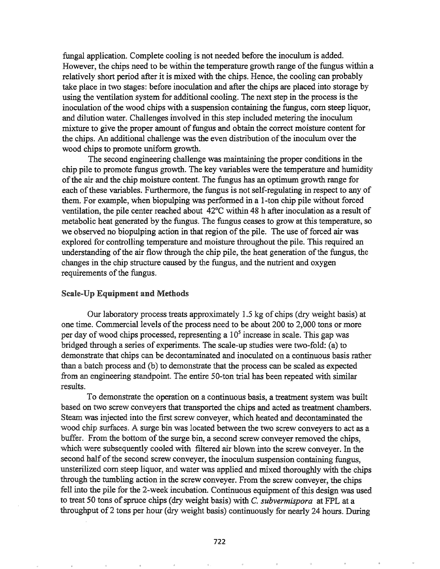fungal application. Complete cooling is not needed before the inoculum is added. However, the chips need to be within the temperature growth range of the fungus within a relatively short period after it is mixed with the chips. Hence, the cooling can probably take place in two stages: before inoculation and after the chips are placed into storage by using the ventilation system for additional cooling. The next step in the process is the inoculation of the wood chips with a suspension containing the fungus, corn steep liquor, and dilution water. Challenges involved in this step included metering the inoculum mixture to give the proper amount of fungus and obtain the correct moisture content for the chips. An additional challenge was the even distribution of the inoculum over the wood chips to promote uniform growth.

The second engineering challenge was maintaining the proper conditions in the chip pile to promote fungus growth. The key variables were the temperature and humidity of the air and the chip moisture content. The fungus has an optimum growth range for each of these variables. Furthermore, the fungus is not self-regulating in respect to any of them. For example, when biopulping was performed in a I-ton chip pile without forced ventilation, the pile center reached about 42°C within 48 h after inoculation as a result of metabolic heat generated by the fungus. The fungus ceases to grow at this temperature, so we observed no biopulping action in that region of the pile. The use of forced air was explored for controlling temperature and moisture throughout the pile. This required an understanding of the air flow through the chip pile, the heat generation of the fungus, the changes in the chip structure caused by the fungus, and the nutrient and oxygen requirements of the fungus.

#### Scale-Up Equipment and Methods

Our laboratory process treats approximately 1.5 kg of chips (dry weight basis) at one time. Commercial levels of the process need to be about 200 to 2,000 tons or more per day of wood chips processed, representing a  $10<sup>5</sup>$  increase in scale. This gap was bridged through a series of experiments. The scale-up studies were two-fold: (a) to demonstrate that chips can be decontaminated and inoculated on a continuous basis rather than a batch process and (b) to demonstrate that the process can be scaled as expected from an engineering standpoint. The entire 50-ton trial has been repeated with similar results.

To demonstrate the operation on a continuous basis, a treatment system was built based on two screw conveyers that transported the chips and acted as treatment chambers. Steam was injected into the first screw conveyer, which heated and decontaminated the wood chip surfaces. A surge bin was located between the two screw conveyers to act as a buffer. From the bottom of the surge bin, a second screw conveyer removed the chips, which were subsequently cooled with filtered air blown into the screw conveyer. In the second half of the second screw conveyer, the inoculum suspension containing fungus, unsterilized com steep liquor, and water was applied and mixed thoroughly with the chips through the tumbling action in the screw conveyer. From the screw conveyer, the chips fell into the pile for the 2-week incubation. Continuous equipment of this design was used to treat 50 tons of spruce chips (dry weight basis) with C. *subvermispora* at FPL at a throughput of 2 tons per hour (dry weight basis) continuously for nearly 24 hours. During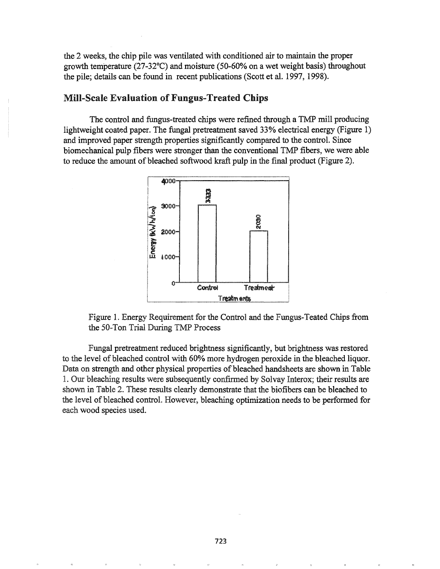the 2 weeks, the chip pile was ventilated with conditioned air to maintain the proper growth temperature (27-32°C) and moisture (50-60% on a wet weight basis) throughout the pile; details can be found in recent publications (Scott et al. 1997, 1998).

## Mill-Scale Evaluation of Fungus-Treated Chips

The control and fungus-treated chips were refined through a TMP mill producing lightweight coated paper. The fungal pretreatment saved 33% electrical energy (Figure 1) and improved paper strength properties significantly compared to the controL Since biomechanical pulp fibers were stronger than the conventional TMP fibers, we were able to reduce the amount of bleached softwood kraft pulp in the final product (Figure 2).



Figure 1. Energy Requirement for the Control and the Fungus-Teated Chips from the 50-Ton Trial During TMP Process

Fungal pretreatment reduced brightness significantly, but brightness was restored to the level of bleached control with 60% more hydrogen peroxide in the bleached liquor. Data on strength and other physical properties of bleached handsheets are shown in Table 1. Our bleaching results were subsequently confirmed by Solvay Interox; their results are shown in Table 2.. These results clearly demonstrate that the biofibers can be bleached to the level of bleached control. However, bleaching optimization needs to be performed for each wood species used.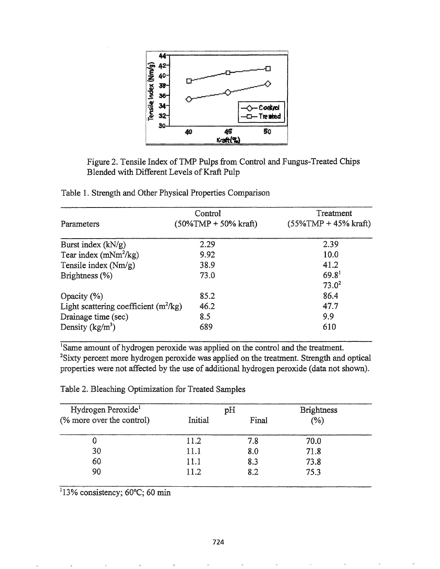

Figure 2. Tensile Index of TMP Pulps from Control and Fungus-Treated Chips Blended with Different Levels of Kraft Pulp

| Parameters                              | Control<br>$(50\%$ TMP + 50% kraft) | Treatment<br>$(55\%TMP + 45\% \text{ kraft})$ |  |
|-----------------------------------------|-------------------------------------|-----------------------------------------------|--|
|                                         |                                     |                                               |  |
| Burst index $(kN/g)$                    | 2.29                                | 2.39                                          |  |
| Tear index $(mNm^2/kg)$                 | 9.92                                | 10.0                                          |  |
| Tensile index $(Nm/g)$                  | 38.9                                | 41.2                                          |  |
| Brightness (%)                          | 73.0                                | 69.8 <sup>1</sup>                             |  |
|                                         |                                     | $73.0^2$                                      |  |
| Opacity $(\% )$                         | 85.2                                | 86.4                                          |  |
| Light scattering coefficient $(m^2/kg)$ | 46.2                                | 47.7                                          |  |
| Drainage time (sec)                     | 8.5                                 | 9.9                                           |  |
| Density ( $kg/m3$ )                     | 689                                 | 610                                           |  |

Table 1. Strength and Other Physical Properties Comparison

<sup>1</sup>Same amount of hydrogen peroxide was applied on the control and the treatment. <sup>2</sup>Sixty percent more hydrogen peroxide was applied on the treatment. Strength and optical properties were not affected by the use of additional hydrogen peroxide (data not shown).

2. Bleaching Optimization for Treated Samples

| Hydrogen Peroxide <sup>1</sup> | pH      |       | <b>Brightness</b> |  |
|--------------------------------|---------|-------|-------------------|--|
| (% more over the control)      | Initial | Final | (%)               |  |
| U                              | 11.2    | 7.8   | 70.0              |  |
| 30                             | 11.1    | 8.0   | 71.8              |  |
| 60                             | 11.1    | 8.3   | 73.8              |  |
| 90                             | 11.2    | 8.2   | 75.3              |  |

 $13\%$  consistency; 60°C; 60 min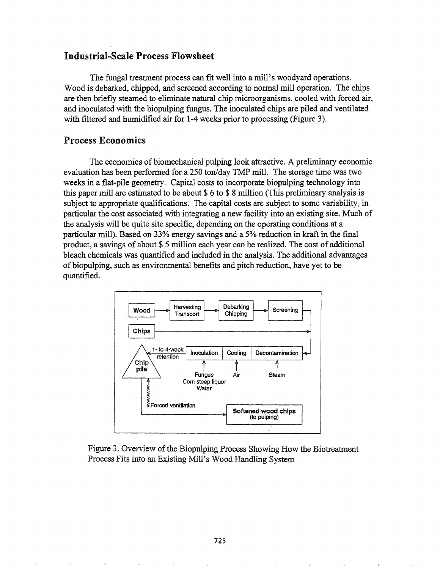## Industrial-Scale Process Flowsheet

The fungal treatment process can fit well into a mill's woodyard operations. Wood is debarked, chipped, and screened according to normal mill operation. The chips are then briefly steamed to eliminate natural chip microorganisms, cooled with forced air, and inoculated with the biopulping fungus. The inoculated chips are piled and ventilated with filtered and humidified air for 1-4 weeks prior to processing (Figure 3).

# Process Economics

The economics of biomechanical pulping look attractive. A preliminary economic evaluation has been performed for a 250 ton/day TMP mill. The storage time was two weeks in a flat-pile geometry. Capital costs to incorporate biopulping technology into this paper mill are estimated to be about \$ 6 to \$ 8 million (This preliminary analysis is subject to appropriate qualifications. The capital costs are subject to some variability, in particular the cost associated with integrating a new facility into an existing site. Much of the analysis will be quite site specific, depending on the operating conditions at a particular mill). Based on 33% energy savings and a 5% reduction in kraft in the final product, a savings of about \$ 5 million each year can be realized. The cost of additional bleach chemicals was quantified and included in the analysis. The additional advantages of biopulping, such as environmental benefits and pitch reduction, have yet to be quantified.



Figure 3. Overview of the Biopulping Process Showing How the Biotreatment Process Fits into an Existing Mill's Wood Handling System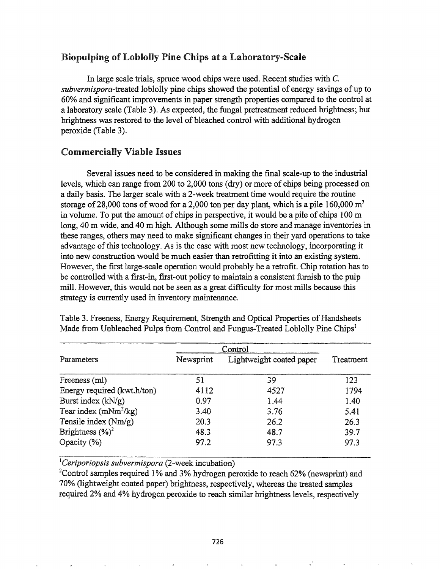# Biopulping ofLoblolly Pine Chips at a Laboratory-Scale

In large scale trials, spruce wood chips were used. Recent studies with C. *subvermispora*-treated loblolly pine chips showed the potential of energy savings of up to 60% and significant improvements in paper strength properties compared to the control at a laboratory scale (Table 3). As expected, the fungal pretreatment reduced brightness; but brightness was restored to the level of bleached control with additional hydrogen peroxide (Table 3).

# Commercially Viable Issues

Several issues need to be considered in making the final scale-up to the industrial levels, which can range from 200 to 2,000 tons (dry) or more of chips being processed on a daily basis. The larger scale with a 2-week treatment time would require the routine storage of 28,000 tons of wood for a 2,000 ton per day plant, which is a pile  $160,000 \text{ m}^3$ in volume. To put the amount of chips in perspective, it would be a pile of chips 100 m long, 40 m wide, and 40 m high. Although some mills do store and manage inventories in these ranges, others may need to make significant changes in their yard operations to take advantage of this technology. As is the case with most new technology, incorporating it into new construction would be much easier than retrofitting it into an existing system. However, the first large-scale operation would probably be a retrofit. Chip rotation has to be controlled with a first-in, first-out policy to maintain a consistent furnish to the pulp mill. However, this would not be seen as a great difficulty for most mills because this strategy is currently used in inventory maintenance.

|                             | Control   |                          |           |
|-----------------------------|-----------|--------------------------|-----------|
| Parameters                  | Newsprint | Lightweight coated paper | Treatment |
| Freeness (ml)               | 51        | 39                       | 123       |
| Energy required (kwt.h/ton) | 4112      | 4527                     | 1794      |
| Burst index (kN/g)          | 0.97      | 1.44                     | 1.40      |
| Tear index $(mNm^2/kg)$     | 3.40      | 3.76                     | 5.41      |
| Tensile index (Nm/g)        | 20.3      | 26.2                     | 26.3      |
| Brightness $(\%)^2$         | 48.3      | 48.7                     | 39.7      |
| Opacity (%)                 | 97.2      | 97.3                     | 97.3      |

Table 3. Freeness, Energy Requirement, Strength and Optical Properties of Handsheets Made from Unbleached Pulps from Control and Fungus-Treated Loblolly Pine Chips<sup>1</sup>

<sup>1</sup>Ceriporiopsis subvermispora (2-week incubation)

<sup>2</sup>Control samples required 1% and 3% hydrogen peroxide to reach 62% (newsprint) and 70% (lightweight coated paper) brightness, respectively, whereas the treated samples required 2% and 4% hydrogen peroxide to reach similar brightness levels, respectively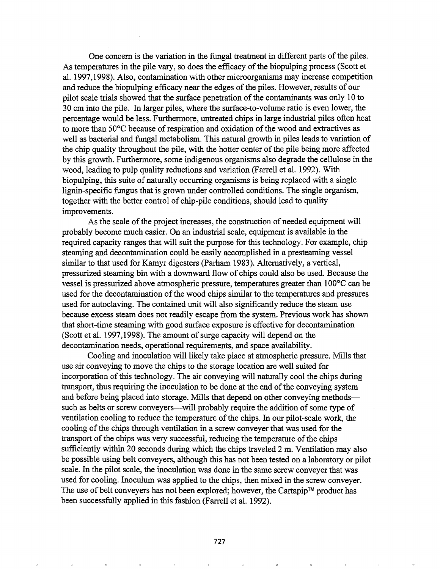One concern is the variation in the fungal treatment in different parts of the piles. As temperatures in the pile vary, so does the efficacy of the biopulping process (Scott et al. 1997,1998). Also, contamination with other microorganisms may increase competition and reduce the biopulping efficacy near the edges of the piles. However, results of our pilot scale trials showed that the surface penetration of the contaminants was only 10 to 30 cm into the pile. In larger piles, where the surface-to-volume ratio is even lower, the percentage would be less. Furthermore, untreated chips in large industrial piles often heat to more than  $50^{\circ}$ C because of respiration and oxidation of the wood and extractives as well as bacterial and fungal metabolism. This natural growth in piles leads to variation of the chip quality throughout the pile, with the hotter center of the pile being more affected by this growth. Furthermore, some indigenous organisms also degrade the cellulose in the wood, leading to pulp quality reductions and variation (Farrell et al. 1992). With biopulping, this suite of naturally occurring organisms is being replaced with a single lignin-specific fungus that is grown under controlled conditions. The single organism, together with the better control of chip-pile conditions, should lead to quality improvements.

As the scale of the project increases, the construction of needed equipment will probably become much easier. On an industrial scale, equipment is available in the required capacity ranges that will suit the purpose for this technology. For example, chip steaming and decontamination could be easily accomplished in a presteaming vessel similar to that used for Kamyr digesters (Parham 1983). Alternatively, a vertical, pressurized steaming bin with a downward flow of chips could also be used. Because the vessel is pressurized above atmospheric pressure, temperatures greater than 100°C can be used for the decontamination of the wood chips similar to the temperatures and pressures used for autoclaving. The contained unit will also significantly reduce the steam use because excess steam does not readily escape from the system. Previous work has shown that short-time steaming with good surface exposure is effective for decontamination (Scott et al. 1997,1998). The amount of surge capacity will depend on the decontamination needs, operational requirements, and space availability.

Cooling and inoculation will likely take place at atmospheric pressure. Mills that use air conveying to move the chips to the storage location are well suited for incorporation of this technology. The air conveying will naturally cool the chips during transport, thus requiring the inoculation to be done at the end of the conveying system and before being placed into storage. Mills that depend on other conveying methodssuch as belts or screw conveyers—will probably require the addition of some type of ventilation cooling to reduce the temperature of the chips. In our pilot-scale work, the cooling of the chips through ventilation in a screw conveyer that was used for the transport of the chips was very successful, reducing the temperature of the chips sufficiently within 20 seconds during which the chips traveled 2 m. Ventilation may also be possible using belt conveyers, although this has not been tested on a laboratory or pilot scale. In the pilot scale, the inoculation was done in the same screw conveyer that was used for cooling. Inoculum was applied to the chips, then mixed in the screw conveyer. The use of belt conveyers has not been explored; however, the Cartapip<sup>TM</sup> product has been successfully applied in this fashion (Farrell et al. 1992).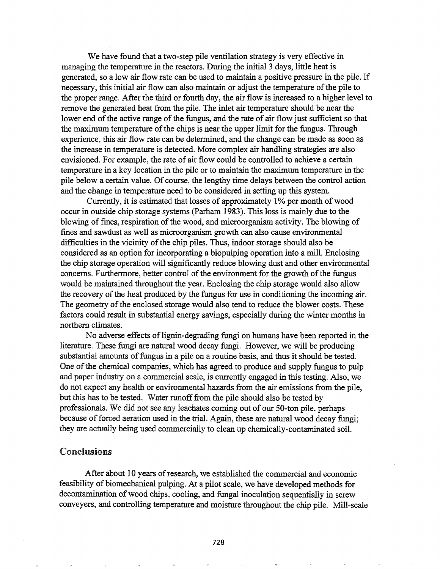We have found that a two-step pile ventilation strategy is very effective in managing the temperature in the reactors. During the initial 3 days, little heat is generated, so a low air flow rate can be used to maintain a positive pressure in the pile. If necessary, this initial air flow can also maintain or adjust the temperature of the pile to the proper range. After the third or fourth day, the air flow is increased to a higher level to remove the generated heat from the pile. The inlet air temperature should be near the lower end of the active range of the fungus, and the rate of air flow just sufficient so that the maximum temperature of the chips is near the upper limit for the fungus. Through experience, this air flow rate can be determined, and the change can be made as soon as the increase in temperature is detected. More complex air handling strategies are also envisioned. For example, the rate of air flow could be controlled to achieve a certain temperature in a key location in the pile or to maintain the maximum temperature in the pile below a certain value. Of course, the lengthy time delays between the control action and the change in temperature need to be considered in setting up this system.

Currently, it is estimated that losses of approximately 1% per month of wood occur in outside chip storage systems (Parham 1983). This loss is mainly due to the blowing of fines, respiration of the wood, and microorganism activity. The blowing of fmes and sawdust as well as microorganism growth can also cause environmental difficulties in the vicinity of the chip piles. Thus, indoor storage should also be considered as an option for incorporating a biopulping operation into a mill. Enclosing the chip storage operation will significantly reduce blowing dust and other environmental concerns. Furthermore, better control of the environment for the growth of the fungus would be maintained throughout the year. Enclosing the chip storage would also allow the recovery of the heat produced by the fungus for use in conditioning the incoming air. The geometry of the enclosed storage would also tend to reduce the blower costs. These factors could result in substantial energy savings, especially during the winter months in northern climates.

No adverse effects oflignin-degrading fungi on humans have been reported in the literature. These fungi are natural wood decay fungi. However, we will be producing substantial amounts of fungus in a pile on a routine basis, and thus it should be tested. One of the chemical companies, which has agreed to produce and supply fungus to pulp and paper industry on a commercial scale, is currently engaged in this testing. Also, we do not expect any health or environmental hazards from the air emissions from the pile, but this has to be tested. Water runoff from the pile should also be tested by professionals. We did not see any leachates coming out of our 50-ton pile, perhaps because of forced aeration used in the trial. Again, these are natural wood decay fungi; they are actually being used commercially to clean up chemically-contaminated soiL

# Conclusions

After about 10 years of research, we established the commercial and economic feasibility of biomechanical pulping. At a pilot scale, we have developed methods for decontamination of wood chips, cooling, and fungal inoculation sequentially in screw conveyers, and controlling temperature and moisture throughout the chip pile. Mill-scale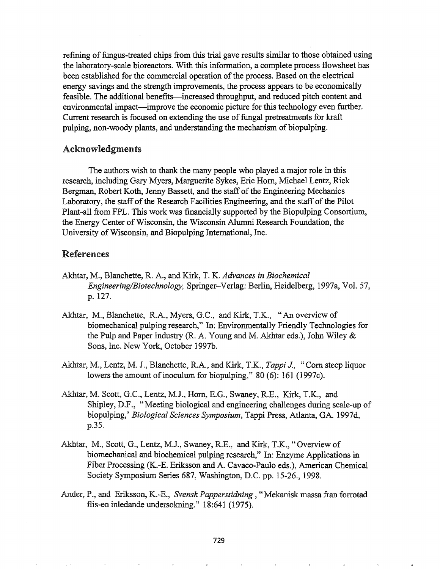refining of fungus-treated chips from this trial gave results similar to those obtained using the laboratory-scale bioreactors. With this information, a complete process flowsheet has been established for the commercial operation of the process. Based on the electrical energy savings and the strength improvements, the process appears to be economically feasible. The additional benefits—increased throughput, and reduced pitch content and environmental impact—improve the economic picture for this technology even further. Current research is focused on extending the use of fungal pretreatments for kraft pulping, non-woody plants, and understanding the mechanism of biopulping.

### Acknowledgments

The authors wish to thank the many people who played a major role in this research, including Gary Myers, Marguerite Sykes, Eric Hom, Michael Lentz, Rick Bergman, Robert Koth, Jenny Bassett, and the staff of the Engineering Mechanics Laboratory, the staff of the Research Facilities Engineering, and the staff of the Pilot Plant-all from FPL. This work was financially supported by the Biopulping Consortium, the Energy Center of Wisconsin, the Wisconsin Alumni Research Foundation, the University of Wisconsin, and Biopulping International, Inc.

## References

- Akhtar, M., Blanchette, R. A., and Kirk, T. K. *Advances in Biochemical Engineering/Biotechnology,* Springer-Verlag: Berlin, Heidelberg, 1997a, VoL 57, p. 127.
- Akhtar, M., Blanchette, R.A., Myers, G.C., and Kirk, T.K., "An overview of biomechanical pulping research," In: Environmentally Friendly Technologies for the Pulp and Paper Industry (R. A. Young and M.. Akhtar eds.), John Wiley & Sons, Inc. New York, October 1997b.
- Akhtar, M., Lentz, M. J., Blanchette, R.A., and Kirk, T.K., *Tappi J.,* "Corn steep liquor lowers the amount of inoculum for biopulping," 80 (6): 161 (1997c).
- Akhtar, M. Scott, G.C., Lentz, M.J., Horn, E.G., Swaney, R.E., Kirk, T.K., and Shipley, D.F., "Meeting biological and engineering challenges during scale-up of biopulping,' *Biological Sciences Symposium,* Tappi Press, Atlanta, GA. 1997d, p.35.
- Akhtar, M., Scott, G., Lentz, M.J., Swaney, R.E., and Kirk, T.K., "Overview of biomechanical and biochemical pulping research," In: Enzyme Applications in Fiber Processing (K.-E. Eriksson and A. Cavaco-Paulo eds.), American Chemical Society Symposium Series 687, Washington, D.C. pp. 15-26., 1998.
- Ander, P., and Eriksson, K.-E., *Svensk Papperstidning*, "Mekanisk massa fran forrotad flis-en inledande undersokning." 18:641 (1975).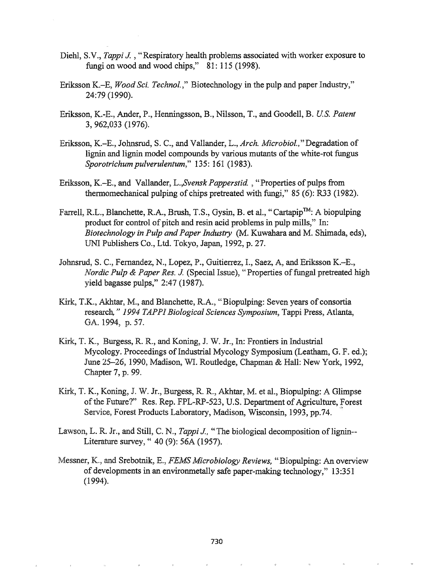- Diehl, S.V., *Tappi* J. , "Respiratory health problems associated with worker exposure to fungi on wood and wood chips," 81: 115 (1998).
- Eriksson K.-E, *Wood Sci. Technol.,"* Biotechnology in the pulp and paper Industry," 24:79 (1990).
- Eriksson, K.-E., Ander, P., Henningsson, B., Nilsson, T., and Goodell, B. U.S. Patent 3, 962,033 (1976).
- Eriksson, K.-E., Johnsrud, S. C., and Vallander, L., *Arch. Microbiol.,* "Degradation of lignin and lignin model compounds by various mutants of the white-rot fungus *Sporotrichum pulverulentum,"* 135: 161 (1983).
- Eriksson, K.-E., and Vallander, *L.,Svensk Papperstid* , "Properties ofpulps from thermomechanical pulping of chips pretreated with fungi," 85 (6): R33 (1982).
- Farrell, R.L., Blanchette, R.A., Brush, T.S., Gysin, B. et al., "Cartapip<sup>TM</sup>: A biopulping product for control of pitch and resin acid problems in pulp mills," In: *Biotechnology in Pulp and Paper Industry* (M.. Kuwahara and M. Shimada, eds), UNI Publishers Co., Ltd. Tokyo, Japan, 1992, p. 27.
- Johnsrud, S. C., Fernandez, N., Lopez, P., Guitierrez, I., Saez, A, and Eriksson K.-E., *Nordic Pulp & Paper Res. J.* (Special Issue), "Properties of fungal pretreated high yield bagasse pulps," 2:47 (1987).
- Kirk, T.K., Akhtar, M., and Blanchette, R.A., "Biopulping: Seven years of consortia research," 1994 *TAPPI Biological Sciences Symposium,* Tappi Press, Atlanta, GA. 1994, p. 57.
- Kirk, T. K., Burgess, R. R., and Koning, J. W. Jr., In: Frontiers in Industrial Mycology. Proceedings of Industrial Mycology Symposium (Leatham, G. F. ed.); June 25-26, 1990, Madison, \VI. Routledge, Chapman & Hall: New York, 1992, Chapter 7, p. 99.
- Kirk, T. K., Koning, J. W. Jr., Burgess, R. R., Akhtar, M. et al., Biopulping: A Glimpse of the Future?" Res. Rep. FPL-RP-523, U.S. Department of Agriculture, Forest Service, Forest Products Laboratory, Madison, Wisconsin, 1993, pp.74.
- Lawson, L. R. Jr., and Still, C. N., *Tappi J.*, "The biological decomposition of lignin--Literature survey, " 40 (9): 56A (1957).
- Messner, K., and Srebotnik, E., *FEMS Microbiology Reviews*, "Biopulping: An overview of developments in an environmetally safe paper-making technology," 13:351  $(1994).$